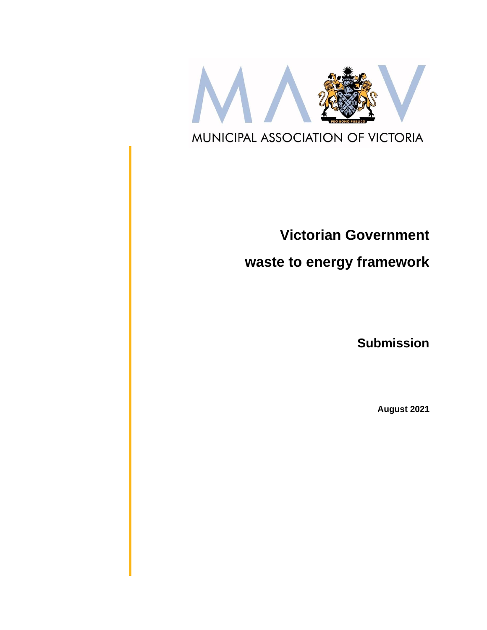

# **Victorian Government**

## **waste to energy framework**

**Submission**

**August 2021**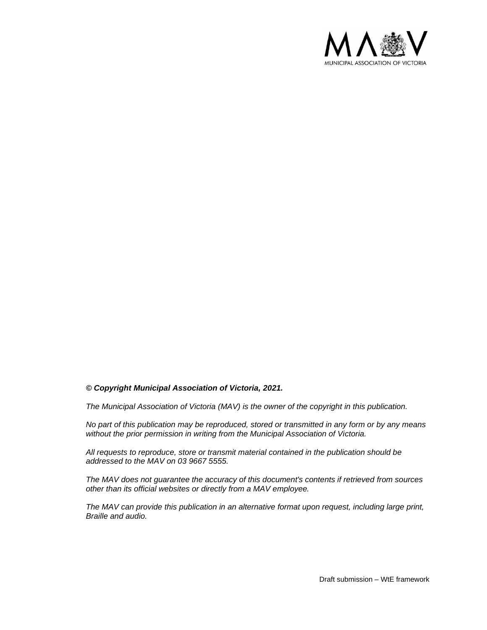

#### *© Copyright Municipal Association of Victoria, 2021.*

*The Municipal Association of Victoria (MAV) is the owner of the copyright in this publication.*

*No part of this publication may be reproduced, stored or transmitted in any form or by any means without the prior permission in writing from the Municipal Association of Victoria.* 

*All requests to reproduce, store or transmit material contained in the publication should be addressed to the MAV on 03 9667 5555.*

*The MAV does not guarantee the accuracy of this document's contents if retrieved from sources other than its official websites or directly from a MAV employee.*

*The MAV can provide this publication in an alternative format upon request, including large print, Braille and audio.*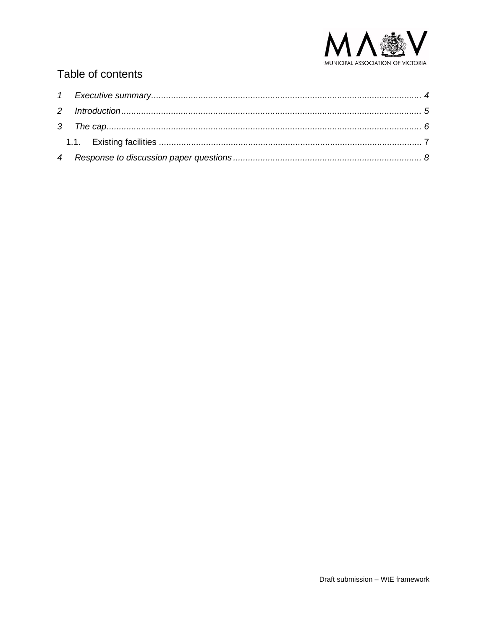

## Table of contents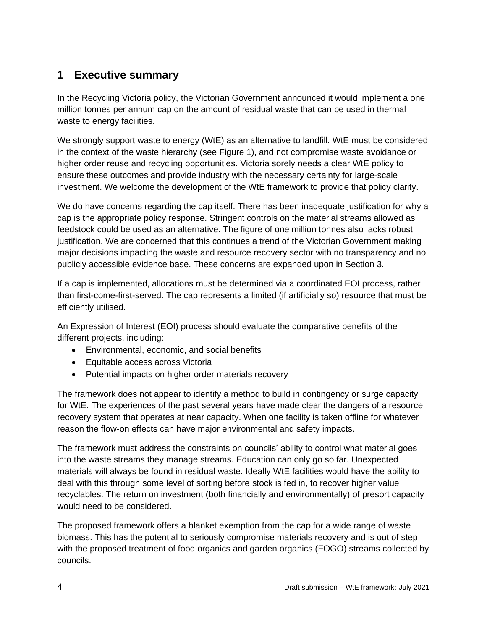## <span id="page-3-0"></span>**1 Executive summary**

In the Recycling Victoria policy, the Victorian Government announced it would implement a one million tonnes per annum cap on the amount of residual waste that can be used in thermal waste to energy facilities.

We strongly support waste to energy (WtE) as an alternative to landfill. WtE must be considered in the context of the waste hierarchy (see Figure 1), and not compromise waste avoidance or higher order reuse and recycling opportunities. Victoria sorely needs a clear WtE policy to ensure these outcomes and provide industry with the necessary certainty for large-scale investment. We welcome the development of the WtE framework to provide that policy clarity.

We do have concerns regarding the cap itself. There has been inadequate justification for why a cap is the appropriate policy response. Stringent controls on the material streams allowed as feedstock could be used as an alternative. The figure of one million tonnes also lacks robust justification. We are concerned that this continues a trend of the Victorian Government making major decisions impacting the waste and resource recovery sector with no transparency and no publicly accessible evidence base. These concerns are expanded upon in Section [3.](#page-5-0)

If a cap is implemented, allocations must be determined via a coordinated EOI process, rather than first-come-first-served. The cap represents a limited (if artificially so) resource that must be efficiently utilised.

An Expression of Interest (EOI) process should evaluate the comparative benefits of the different projects, including:

- Environmental, economic, and social benefits
- Equitable access across Victoria
- Potential impacts on higher order materials recovery

The framework does not appear to identify a method to build in contingency or surge capacity for WtE. The experiences of the past several years have made clear the dangers of a resource recovery system that operates at near capacity. When one facility is taken offline for whatever reason the flow-on effects can have major environmental and safety impacts.

The framework must address the constraints on councils' ability to control what material goes into the waste streams they manage streams. Education can only go so far. Unexpected materials will always be found in residual waste. Ideally WtE facilities would have the ability to deal with this through some level of sorting before stock is fed in, to recover higher value recyclables. The return on investment (both financially and environmentally) of presort capacity would need to be considered.

The proposed framework offers a blanket exemption from the cap for a wide range of waste biomass. This has the potential to seriously compromise materials recovery and is out of step with the proposed treatment of food organics and garden organics (FOGO) streams collected by councils.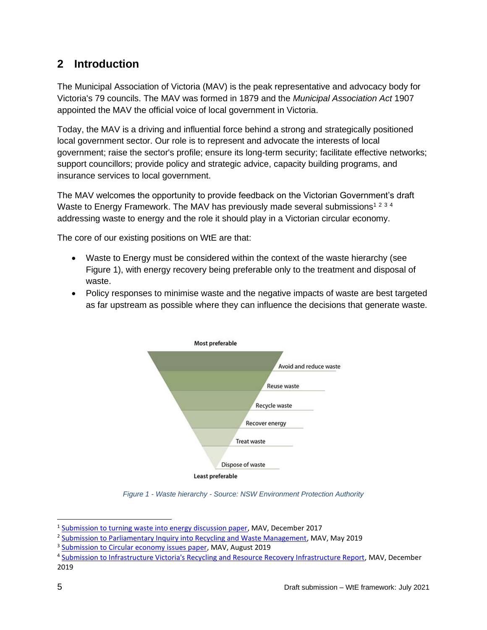## <span id="page-4-0"></span>**2 Introduction**

The Municipal Association of Victoria (MAV) is the peak representative and advocacy body for Victoria's 79 councils. The MAV was formed in 1879 and the *Municipal Association Act* 1907 appointed the MAV the official voice of local government in Victoria.

Today, the MAV is a driving and influential force behind a strong and strategically positioned local government sector. Our role is to represent and advocate the interests of local government; raise the sector's profile; ensure its long-term security; facilitate effective networks; support councillors; provide policy and strategic advice, capacity building programs, and insurance services to local government.

The MAV welcomes the opportunity to provide feedback on the Victorian Government's draft Waste to Energy Framework. The MAV has previously made several submissions<sup>1234</sup> addressing waste to energy and the role it should play in a Victorian circular economy.

The core of our existing positions on WtE are that:

- Waste to Energy must be considered within the context of the waste hierarchy (see Figure 1), with energy recovery being preferable only to the treatment and disposal of waste.
- Policy responses to minimise waste and the negative impacts of waste are best targeted as far upstream as possible where they can influence the decisions that generate waste.



*Figure 1 - Waste hierarchy - Source: NSW Environment Protection Authority*

<sup>&</sup>lt;sup>1</sup> [Submission to turning waste into energy discussion paper,](https://www.mav.asn.au/__data/assets/word_doc/0004/5755/Submission-to-turning-waste-into-energy-discussion-paper-Dec-2017.docx) MAV, December 2017

<sup>&</sup>lt;sup>2</sup> [Submission to Parliamentary Inquiry into Recycling and Waste Management,](https://www.mav.asn.au/__data/assets/pdf_file/0018/22770/Submission-to-Parliamentary-Inquiry-into-Recycling-and-Waste-Management.pdf) MAV, May 2019

<sup>&</sup>lt;sup>3</sup> [Submission to Circular economy issues paper,](https://www.mav.asn.au/__data/assets/word_doc/0013/23332/Submission-to-Circular-economy-issues-paper-MAV-submission-July-2019.docx) MAV, August 2019

<sup>&</sup>lt;sup>4</sup> [Submission to Infrastructure Victoria's Recycling and Resource Recovery Infrastructure Report,](https://www.mav.asn.au/__data/assets/word_doc/0008/24398/Submission-to-Infrastructure-Victorias-Recycling-and-resource-recovery-infrastructure-report.docx) MAV, December 2019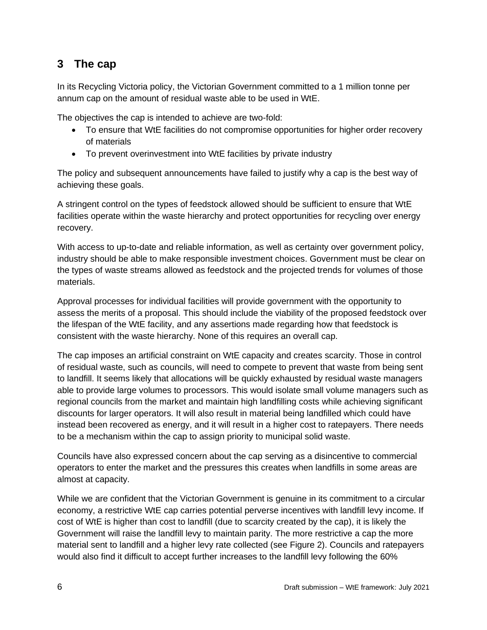## <span id="page-5-0"></span>**3 The cap**

In its Recycling Victoria policy, the Victorian Government committed to a 1 million tonne per annum cap on the amount of residual waste able to be used in WtE.

The objectives the cap is intended to achieve are two-fold:

- To ensure that WtE facilities do not compromise opportunities for higher order recovery of materials
- To prevent overinvestment into WtE facilities by private industry

The policy and subsequent announcements have failed to justify why a cap is the best way of achieving these goals.

A stringent control on the types of feedstock allowed should be sufficient to ensure that WtE facilities operate within the waste hierarchy and protect opportunities for recycling over energy recovery.

With access to up-to-date and reliable information, as well as certainty over government policy, industry should be able to make responsible investment choices. Government must be clear on the types of waste streams allowed as feedstock and the projected trends for volumes of those materials.

Approval processes for individual facilities will provide government with the opportunity to assess the merits of a proposal. This should include the viability of the proposed feedstock over the lifespan of the WtE facility, and any assertions made regarding how that feedstock is consistent with the waste hierarchy. None of this requires an overall cap.

The cap imposes an artificial constraint on WtE capacity and creates scarcity. Those in control of residual waste, such as councils, will need to compete to prevent that waste from being sent to landfill. It seems likely that allocations will be quickly exhausted by residual waste managers able to provide large volumes to processors. This would isolate small volume managers such as regional councils from the market and maintain high landfilling costs while achieving significant discounts for larger operators. It will also result in material being landfilled which could have instead been recovered as energy, and it will result in a higher cost to ratepayers. There needs to be a mechanism within the cap to assign priority to municipal solid waste.

Councils have also expressed concern about the cap serving as a disincentive to commercial operators to enter the market and the pressures this creates when landfills in some areas are almost at capacity.

While we are confident that the Victorian Government is genuine in its commitment to a circular economy, a restrictive WtE cap carries potential perverse incentives with landfill levy income. If cost of WtE is higher than cost to landfill (due to scarcity created by the cap), it is likely the Government will raise the landfill levy to maintain parity. The more restrictive a cap the more material sent to landfill and a higher levy rate collected (see Figure 2). Councils and ratepayers would also find it difficult to accept further increases to the landfill levy following the 60%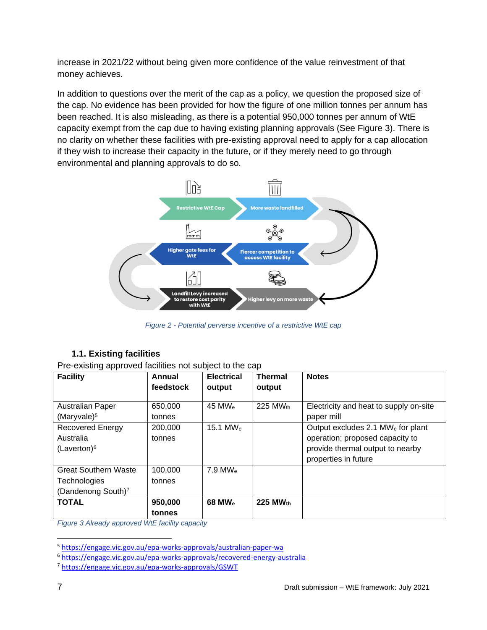increase in 2021/22 without being given more confidence of the value reinvestment of that money achieves.

In addition to questions over the merit of the cap as a policy, we question the proposed size of the cap. No evidence has been provided for how the figure of one million tonnes per annum has been reached. It is also misleading, as there is a potential 950,000 tonnes per annum of WtE capacity exempt from the cap due to having existing planning approvals (See Figure 3). There is no clarity on whether these facilities with pre-existing approval need to apply for a cap allocation if they wish to increase their capacity in the future, or if they merely need to go through environmental and planning approvals to do so.



*Figure 2 - Potential perverse incentive of a restrictive WtE cap*

### **1.1. Existing facilities**

<span id="page-6-0"></span>Pre-existing approved facilities not subject to the cap

| <b>Facility</b>                | Annual    | <b>Electrical</b>     | <b>Thermal</b>     | <b>Notes</b>                                  |
|--------------------------------|-----------|-----------------------|--------------------|-----------------------------------------------|
|                                | feedstock | output                | output             |                                               |
| <b>Australian Paper</b>        | 650,000   | 45 MW $_{\odot}$      | 225 MWth           | Electricity and heat to supply on-site        |
| (Maryvale) $5$                 | tonnes    |                       |                    | paper mill                                    |
| Recovered Energy               | 200,000   | 15.1 MW $_{\odot}$    |                    | Output excludes 2.1 MW <sub>e</sub> for plant |
| Australia                      | tonnes    |                       |                    | operation; proposed capacity to               |
| $(Laverton)^6$                 |           |                       |                    | provide thermal output to nearby              |
|                                |           |                       |                    | properties in future                          |
| <b>Great Southern Waste</b>    | 100,000   | $7.9$ MW <sub>e</sub> |                    |                                               |
| Technologies                   | tonnes    |                       |                    |                                               |
| (Dandenong South) <sup>7</sup> |           |                       |                    |                                               |
| <b>TOTAL</b>                   | 950,000   | 68 MW <sub>e</sub>    | 225 MW $_{\rm th}$ |                                               |
|                                | tonnes    |                       |                    |                                               |

*Figure 3 Already approved WtE facility capacity*

<sup>5</sup> <https://engage.vic.gov.au/epa-works-approvals/australian-paper-wa>

<sup>6</sup> <https://engage.vic.gov.au/epa-works-approvals/recovered-energy-australia>

<sup>7</sup> <https://engage.vic.gov.au/epa-works-approvals/GSWT>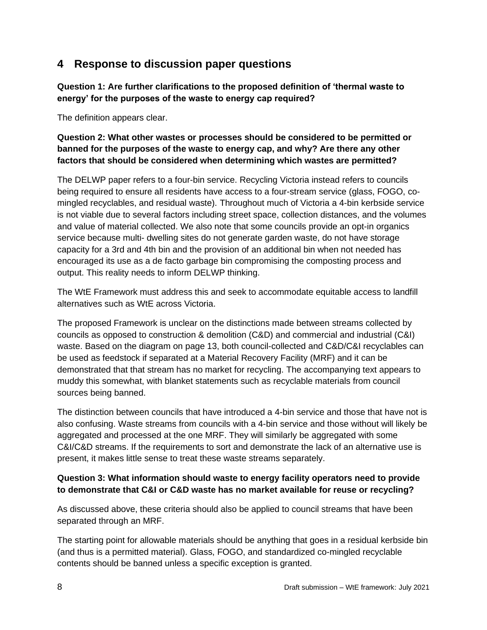### <span id="page-7-0"></span>**4 Response to discussion paper questions**

**Question 1: Are further clarifications to the proposed definition of 'thermal waste to energy' for the purposes of the waste to energy cap required?**

The definition appears clear.

#### **Question 2: What other wastes or processes should be considered to be permitted or banned for the purposes of the waste to energy cap, and why? Are there any other factors that should be considered when determining which wastes are permitted?**

The DELWP paper refers to a four-bin service. Recycling Victoria instead refers to councils being required to ensure all residents have access to a four-stream service (glass, FOGO, comingled recyclables, and residual waste). Throughout much of Victoria a 4-bin kerbside service is not viable due to several factors including street space, collection distances, and the volumes and value of material collected. We also note that some councils provide an opt-in organics service because multi- dwelling sites do not generate garden waste, do not have storage capacity for a 3rd and 4th bin and the provision of an additional bin when not needed has encouraged its use as a de facto garbage bin compromising the composting process and output. This reality needs to inform DELWP thinking.

The WtE Framework must address this and seek to accommodate equitable access to landfill alternatives such as WtE across Victoria.

The proposed Framework is unclear on the distinctions made between streams collected by councils as opposed to construction & demolition (C&D) and commercial and industrial (C&I) waste. Based on the diagram on page 13, both council-collected and C&D/C&I recyclables can be used as feedstock if separated at a Material Recovery Facility (MRF) and it can be demonstrated that that stream has no market for recycling. The accompanying text appears to muddy this somewhat, with blanket statements such as recyclable materials from council sources being banned.

The distinction between councils that have introduced a 4-bin service and those that have not is also confusing. Waste streams from councils with a 4-bin service and those without will likely be aggregated and processed at the one MRF. They will similarly be aggregated with some C&I/C&D streams. If the requirements to sort and demonstrate the lack of an alternative use is present, it makes little sense to treat these waste streams separately.

#### **Question 3: What information should waste to energy facility operators need to provide to demonstrate that C&I or C&D waste has no market available for reuse or recycling?**

As discussed above, these criteria should also be applied to council streams that have been separated through an MRF.

The starting point for allowable materials should be anything that goes in a residual kerbside bin (and thus is a permitted material). Glass, FOGO, and standardized co-mingled recyclable contents should be banned unless a specific exception is granted.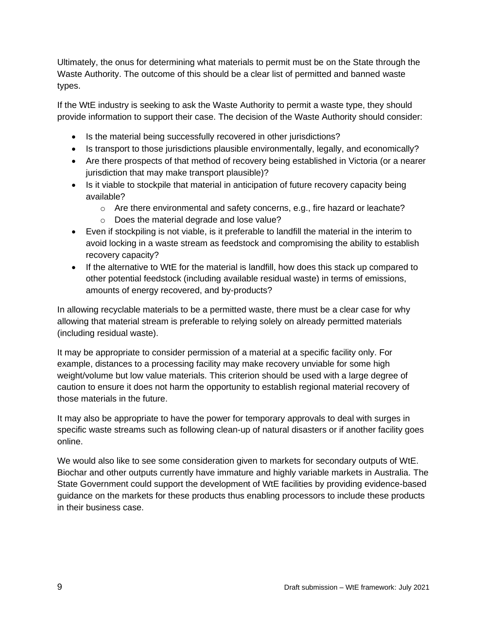Ultimately, the onus for determining what materials to permit must be on the State through the Waste Authority. The outcome of this should be a clear list of permitted and banned waste types.

If the WtE industry is seeking to ask the Waste Authority to permit a waste type, they should provide information to support their case. The decision of the Waste Authority should consider:

- Is the material being successfully recovered in other jurisdictions?
- Is transport to those jurisdictions plausible environmentally, legally, and economically?
- Are there prospects of that method of recovery being established in Victoria (or a nearer jurisdiction that may make transport plausible)?
- Is it viable to stockpile that material in anticipation of future recovery capacity being available?
	- $\circ$  Are there environmental and safety concerns, e.g., fire hazard or leachate?
	- o Does the material degrade and lose value?
- Even if stockpiling is not viable, is it preferable to landfill the material in the interim to avoid locking in a waste stream as feedstock and compromising the ability to establish recovery capacity?
- If the alternative to WtE for the material is landfill, how does this stack up compared to other potential feedstock (including available residual waste) in terms of emissions, amounts of energy recovered, and by-products?

In allowing recyclable materials to be a permitted waste, there must be a clear case for why allowing that material stream is preferable to relying solely on already permitted materials (including residual waste).

It may be appropriate to consider permission of a material at a specific facility only. For example, distances to a processing facility may make recovery unviable for some high weight/volume but low value materials. This criterion should be used with a large degree of caution to ensure it does not harm the opportunity to establish regional material recovery of those materials in the future.

It may also be appropriate to have the power for temporary approvals to deal with surges in specific waste streams such as following clean-up of natural disasters or if another facility goes online.

We would also like to see some consideration given to markets for secondary outputs of WtE. Biochar and other outputs currently have immature and highly variable markets in Australia. The State Government could support the development of WtE facilities by providing evidence-based guidance on the markets for these products thus enabling processors to include these products in their business case.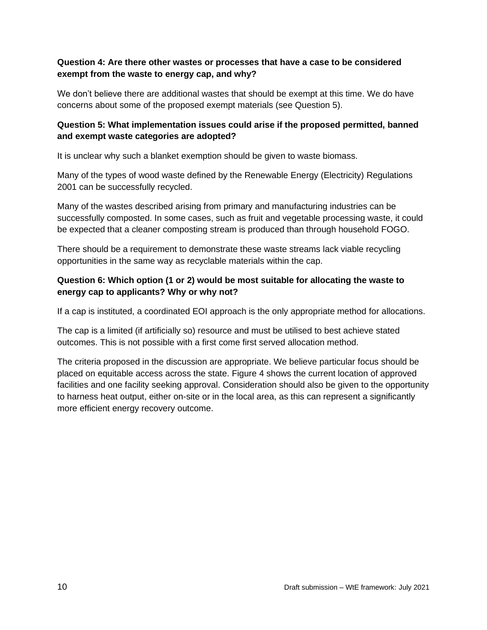#### **Question 4: Are there other wastes or processes that have a case to be considered exempt from the waste to energy cap, and why?**

We don't believe there are additional wastes that should be exempt at this time. We do have concerns about some of the proposed exempt materials (see Question 5).

#### **Question 5: What implementation issues could arise if the proposed permitted, banned and exempt waste categories are adopted?**

It is unclear why such a blanket exemption should be given to waste biomass.

Many of the types of wood waste defined by the Renewable Energy (Electricity) Regulations 2001 can be successfully recycled.

Many of the wastes described arising from primary and manufacturing industries can be successfully composted. In some cases, such as fruit and vegetable processing waste, it could be expected that a cleaner composting stream is produced than through household FOGO.

There should be a requirement to demonstrate these waste streams lack viable recycling opportunities in the same way as recyclable materials within the cap.

#### **Question 6: Which option (1 or 2) would be most suitable for allocating the waste to energy cap to applicants? Why or why not?**

If a cap is instituted, a coordinated EOI approach is the only appropriate method for allocations.

The cap is a limited (if artificially so) resource and must be utilised to best achieve stated outcomes. This is not possible with a first come first served allocation method.

The criteria proposed in the discussion are appropriate. We believe particular focus should be placed on equitable access across the state. Figure 4 shows the current location of approved facilities and one facility seeking approval. Consideration should also be given to the opportunity to harness heat output, either on-site or in the local area, as this can represent a significantly more efficient energy recovery outcome.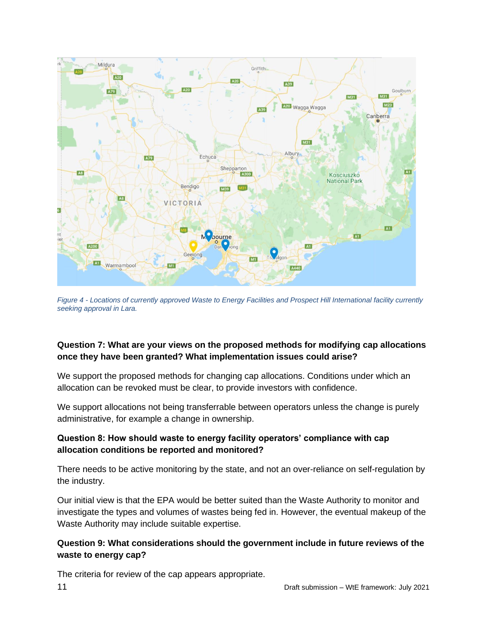

*Figure 4 - Locations of currently approved Waste to Energy Facilities and Prospect Hill International facility currently seeking approval in Lara.*

#### **Question 7: What are your views on the proposed methods for modifying cap allocations once they have been granted? What implementation issues could arise?**

We support the proposed methods for changing cap allocations. Conditions under which an allocation can be revoked must be clear, to provide investors with confidence.

We support allocations not being transferrable between operators unless the change is purely administrative, for example a change in ownership.

#### **Question 8: How should waste to energy facility operators' compliance with cap allocation conditions be reported and monitored?**

There needs to be active monitoring by the state, and not an over-reliance on self-regulation by the industry.

Our initial view is that the EPA would be better suited than the Waste Authority to monitor and investigate the types and volumes of wastes being fed in. However, the eventual makeup of the Waste Authority may include suitable expertise.

#### **Question 9: What considerations should the government include in future reviews of the waste to energy cap?**

The criteria for review of the cap appears appropriate.